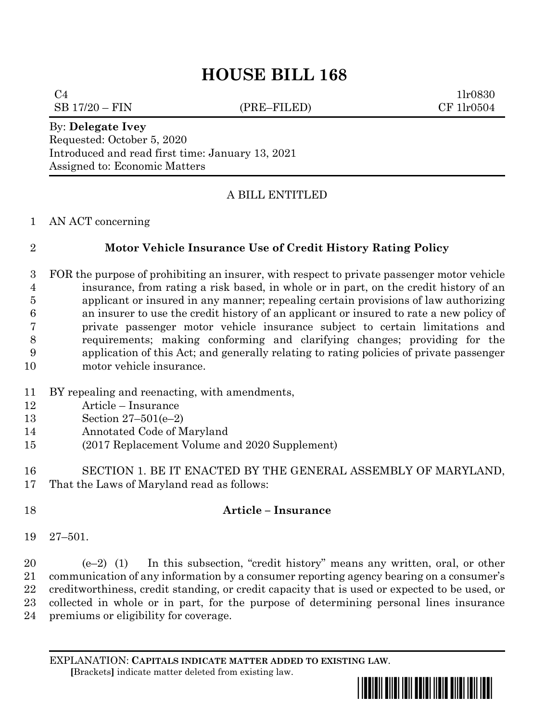# **HOUSE BILL 168**

 $C4$  1lr0830

 $SB 17/20 - FIN$  (PRE–FILED) CF 1lr0504

By: **Delegate Ivey** Requested: October 5, 2020 Introduced and read first time: January 13, 2021 Assigned to: Economic Matters

## A BILL ENTITLED

#### AN ACT concerning

## **Motor Vehicle Insurance Use of Credit History Rating Policy**

- FOR the purpose of prohibiting an insurer, with respect to private passenger motor vehicle insurance, from rating a risk based, in whole or in part, on the credit history of an applicant or insured in any manner; repealing certain provisions of law authorizing an insurer to use the credit history of an applicant or insured to rate a new policy of private passenger motor vehicle insurance subject to certain limitations and requirements; making conforming and clarifying changes; providing for the application of this Act; and generally relating to rating policies of private passenger motor vehicle insurance.
- BY repealing and reenacting, with amendments,
- Article Insurance
- Section 27–501(e–2)
- Annotated Code of Maryland
- (2017 Replacement Volume and 2020 Supplement)
- SECTION 1. BE IT ENACTED BY THE GENERAL ASSEMBLY OF MARYLAND, That the Laws of Maryland read as follows:

## **Article – Insurance**

27–501.

 (e–2) (1) In this subsection, "credit history" means any written, oral, or other communication of any information by a consumer reporting agency bearing on a consumer's creditworthiness, credit standing, or credit capacity that is used or expected to be used, or collected in whole or in part, for the purpose of determining personal lines insurance premiums or eligibility for coverage.

EXPLANATION: **CAPITALS INDICATE MATTER ADDED TO EXISTING LAW**.  **[**Brackets**]** indicate matter deleted from existing law.

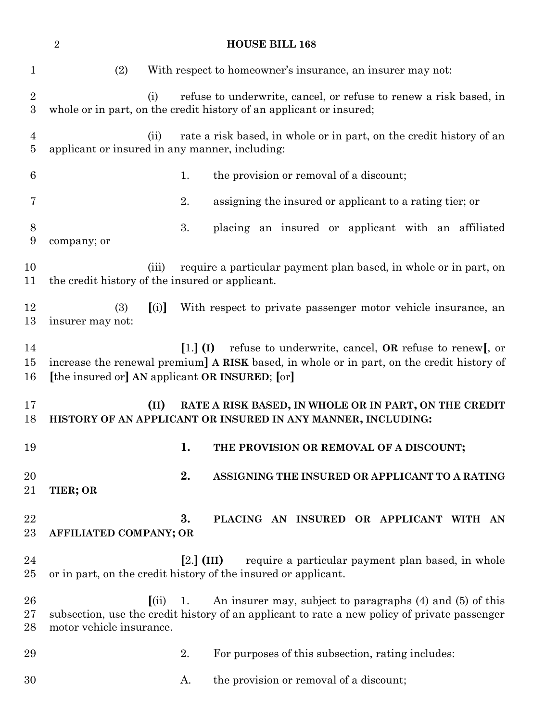| $\overline{2}$<br><b>HOUSE BILL 168</b> |                                                          |                                                                                                                                                                               |
|-----------------------------------------|----------------------------------------------------------|-------------------------------------------------------------------------------------------------------------------------------------------------------------------------------|
| $\mathbf 1$                             | (2)                                                      | With respect to homeowner's insurance, an insurer may not:                                                                                                                    |
| $\sqrt{2}$<br>$\boldsymbol{3}$          | (i)                                                      | refuse to underwrite, cancel, or refuse to renew a risk based, in<br>whole or in part, on the credit history of an applicant or insured;                                      |
| $\overline{4}$<br>5                     | (ii)<br>applicant or insured in any manner, including:   | rate a risk based, in whole or in part, on the credit history of an                                                                                                           |
| 6                                       |                                                          | the provision or removal of a discount;<br>1.                                                                                                                                 |
| 7                                       |                                                          | 2.<br>assigning the insured or applicant to a rating tier; or                                                                                                                 |
| 8<br>9                                  | company; or                                              | 3.<br>placing an insured or applicant with an affiliated                                                                                                                      |
| 10<br>11                                | (iii)<br>the credit history of the insured or applicant. | require a particular payment plan based, in whole or in part, on                                                                                                              |
| 12<br>13                                | (3)<br>[(i)]<br>insurer may not:                         | With respect to private passenger motor vehicle insurance, an                                                                                                                 |
| 14<br>15<br>16                          | [the insured or] AN applicant OR INSURED; [or]           | refuse to underwrite, cancel, $OR$ refuse to renew[, or<br>$\left[1.\right]$ (I)<br>increase the renewal premium] A RISK based, in whole or in part, on the credit history of |
| 17<br>18                                | (II)                                                     | RATE A RISK BASED, IN WHOLE OR IN PART, ON THE CREDIT<br>HISTORY OF AN APPLICANT OR INSURED IN ANY MANNER, INCLUDING:                                                         |
| 19                                      |                                                          | 1.<br>THE PROVISION OR REMOVAL OF A DISCOUNT;                                                                                                                                 |
| 20<br>21                                | TIER; OR                                                 | 2.<br>ASSIGNING THE INSURED OR APPLICANT TO A RATING                                                                                                                          |
| 22<br>$23\,$                            | AFFILIATED COMPANY; OR                                   | 3.<br>PLACING AN INSURED OR APPLICANT WITH AN                                                                                                                                 |
| 24<br>$25\,$                            |                                                          | $[2.]$ (III)<br>require a particular payment plan based, in whole<br>or in part, on the credit history of the insured or applicant.                                           |
| 26<br>$27\,$<br>28                      | (i)<br>motor vehicle insurance.                          | An insurer may, subject to paragraphs (4) and (5) of this<br>1.<br>subsection, use the credit history of an applicant to rate a new policy of private passenger               |
| 29                                      |                                                          | For purposes of this subsection, rating includes:<br>2.                                                                                                                       |
| 30                                      |                                                          | the provision or removal of a discount;<br>A.                                                                                                                                 |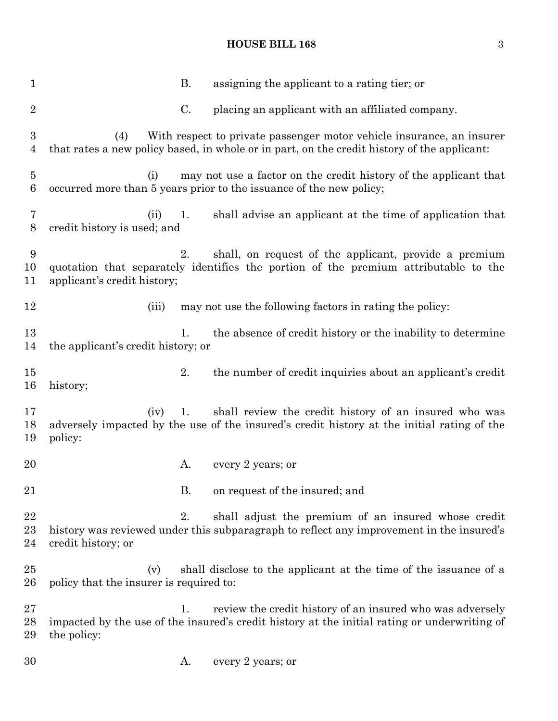# **HOUSE BILL 168** 3

| 1                                  | В.<br>assigning the applicant to a rating tier; or                                                                                                                                |
|------------------------------------|-----------------------------------------------------------------------------------------------------------------------------------------------------------------------------------|
| $\overline{2}$                     | C.<br>placing an applicant with an affiliated company.                                                                                                                            |
| $\boldsymbol{3}$<br>$\overline{4}$ | With respect to private passenger motor vehicle insurance, an insurer<br>(4)<br>that rates a new policy based, in whole or in part, on the credit history of the applicant:       |
| $\bf 5$<br>6                       | may not use a factor on the credit history of the applicant that<br>(i)<br>occurred more than 5 years prior to the issuance of the new policy;                                    |
| 7<br>$8\,$                         | shall advise an applicant at the time of application that<br>(ii)<br>1.<br>credit history is used; and                                                                            |
| 9<br>10<br>11                      | 2.<br>shall, on request of the applicant, provide a premium<br>quotation that separately identifies the portion of the premium attributable to the<br>applicant's credit history; |
| 12                                 | may not use the following factors in rating the policy:<br>(iii)                                                                                                                  |
| 13<br>14                           | the absence of credit history or the inability to determine<br>1.<br>the applicant's credit history; or                                                                           |
| 15<br>16                           | the number of credit inquiries about an applicant's credit<br>2.<br>history;                                                                                                      |
| 17<br>18<br>19                     | shall review the credit history of an insured who was<br>(iv)<br>1.<br>adversely impacted by the use of the insured's credit history at the initial rating of the<br>policy:      |
| 20                                 | every 2 years; or<br>A.                                                                                                                                                           |
| 21                                 | В.<br>on request of the insured; and                                                                                                                                              |
| 22<br>23<br>24                     | 2.<br>shall adjust the premium of an insured whose credit<br>history was reviewed under this subparagraph to reflect any improvement in the insured's<br>credit history; or       |
| 25<br>26                           | shall disclose to the applicant at the time of the issuance of a<br>(v)<br>policy that the insurer is required to:                                                                |
| 27<br>28<br>29                     | review the credit history of an insured who was adversely<br>1.<br>impacted by the use of the insured's credit history at the initial rating or underwriting of<br>the policy:    |
| 30                                 | every 2 years; or<br>A.                                                                                                                                                           |